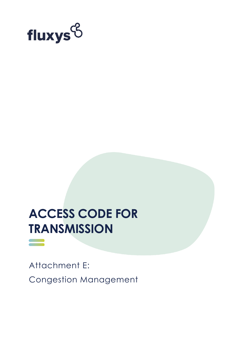

# **ACCESS CODE FOR TRANSMISSION**

==

Attachment E: Congestion Management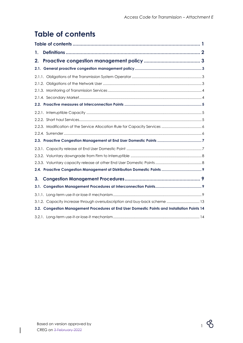# <span id="page-1-0"></span>**Table of contents**

| 1.                                                                                           |  |
|----------------------------------------------------------------------------------------------|--|
| 2.                                                                                           |  |
|                                                                                              |  |
|                                                                                              |  |
|                                                                                              |  |
|                                                                                              |  |
|                                                                                              |  |
|                                                                                              |  |
|                                                                                              |  |
|                                                                                              |  |
|                                                                                              |  |
|                                                                                              |  |
|                                                                                              |  |
|                                                                                              |  |
|                                                                                              |  |
|                                                                                              |  |
|                                                                                              |  |
| 3.                                                                                           |  |
|                                                                                              |  |
|                                                                                              |  |
| 3.1.2. Capacity increase through oversubscription and buy-back scheme  13                    |  |
| 3.2. Congestion Management Procedures at End User Domestic Points and Installation Points 14 |  |
|                                                                                              |  |

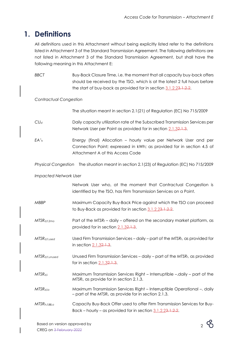# <span id="page-2-0"></span>**1. Definitions**

All definitions used in this Attachment without being explicitly listed refer to the definitions listed in Attachment 3 of the Standard Transmission Agreement. The following definitions are not listed in Attachment 3 of the Standard Transmission Agreement, but shall have the following meaning in this Attachment E:

| <b>BBCT</b>                   | Buy-Back Closure Time, i.e. the moment that all capacity buy-back offers<br>should be received by the TSO, which is at the latest 2 full hours before<br>the start of buy-back as provided for in section 3.1.2.23.1.2.2. |  |
|-------------------------------|---------------------------------------------------------------------------------------------------------------------------------------------------------------------------------------------------------------------------|--|
| <b>Contractual Congestion</b> |                                                                                                                                                                                                                           |  |
|                               | The situation meant in section 2.1(21) of Regulation (EC) No 715/2009                                                                                                                                                     |  |
| CU <sub>d</sub>               | Daily capacity utilization rate of the Subscribed Transmission Services per<br>Network User per Point as provided for in section 2.1.32.1.3.                                                                              |  |
| EA'h                          | Energy (final) Allocation - hourly value per Network User and per<br>Connection Point; expressed in kWh; as provided for in section 4.5 of<br>Attachment A of this Access Code                                            |  |
|                               | Physical Congestion The situation meant in section 2.1(23) of Regulation (EC) No 715/2009                                                                                                                                 |  |
| <b>Impacted Network User</b>  |                                                                                                                                                                                                                           |  |
|                               | Network User who, at the moment that Contractual Congestion is<br>identified by the TSO, has Firm Transmission Services on a Point.                                                                                       |  |
| <b>MBBP</b>                   | Maximum Capacity Buy-Back Price against which the TSO can proceed<br>to Buy-Back as provided for in section 3.1.2.23.1.2.2.                                                                                               |  |
| MTSR <sub>d,f,2mo</sub>       | Part of the $MISR_f$ – daily – offered on the secondary market platform, as<br>provided for in section 2.1.32.1.3.                                                                                                        |  |
| $MTSR$ d.f.used               | Used Firm Transmission Services - daily - part of the MTSR $_f$ , as provided for<br>in section 2.1.32.1.3.                                                                                                               |  |
| MTSR <sub>d,f,unused</sub>    | Unused Firm Transmission Services - daily - part of the MTSRf, as provided<br>for in section 2.1.32.1.3.                                                                                                                  |  |
| MTSR <sub>d,i</sub>           | Maximum Transmission Services Right - Interruptible - daily - part of the<br>MTSR <sub>i</sub> , as provide for in section 2.1.3.                                                                                         |  |
| MTSR <sub>d.io</sub>          | Maximum Transmission Services Right - Interruptible Operational -. daily<br>$-$ part of the MTSR <sub>i</sub> , as provide for in section 2.1.3.                                                                          |  |
| MTSR <sub>h.f,BB,o</sub>      | Capacity Buy-Back Offer used to offer Firm Transmission Services for Buy-<br>Back – hourly – as provided for in section 3.1.2.23.1.2.2.                                                                                   |  |

 $2$   $\mathcal{B}$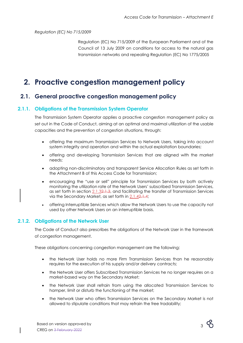*Regulation (EC) No 715/2009*

Regulation (EC) No 715/2009 of the European Parliament and of the Council of 13 July 2009 on conditions for access to the natural gas transmission networks and repealing Regulation (EC) No 1775/2005

# <span id="page-3-1"></span><span id="page-3-0"></span>**2. Proactive congestion management policy**

# **2.1. General proactive congestion management policy**

#### **2.1.1. Obligations of the Transmission System Operator**

<span id="page-3-2"></span>The Transmission System Operator applies a proactive congestion management policy as set out in the Code of Conduct, aiming at an optimal and maximal utilization of the usable capacities and the prevention of congestion situations, through:

- offering the maximum Transmission Services to Network Users, taking into account system integrity and operation and within the actual exploitation boundaries;
- offering and developing Transmission Services that are aligned with the market needs;
- adopting non-discriminatory and transparent Service Allocation Rules as set forth in the Attachment B of this Access Code for Transmission;
- encouraging the "use or sell" principle for Transmission Services by both actively monitoring the utilization rate of the Network Users' subscribed Transmission Services, as set forth in section [2.1.32.1.3,](#page-4-0) and facilitating the transfer of Transmission Services via the Secondary Market, as set forth in [2.1.42.1.4;](#page-4-1)
- offering Interruptible Services which allow the Network Users to use the capacity not used by other Network Users on an interruptible basis.

#### **2.1.2. Obligations of the Network User**

<span id="page-3-3"></span>The Code of Conduct also prescribes the obligations of the Network User in the framework of congestion management.

These obligations concerning congestion management are the following:

- the Network User holds no more Firm Transmission Services than he reasonably requires for the execution of his supply and/or delivery contracts;
- the Network User offers Subscribed Transmission Services he no longer requires on a market-based way on the Secondary Market;
- the Network User shall refrain from using the allocated Transmission Services to hamper, limit or disturb the functioning of the market;
- the Network User who offers Transmission Services on the Secondary Market is not allowed to stipulate conditions that may refrain the free tradability;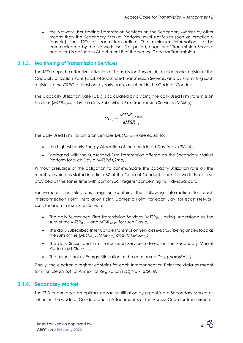• the Network User trading Transmission Services on the Secondary Market by other means than the Secondary Market Platform, must notify (as soon as practically feasible) the TSO of each transaction. The minimum information to be communicated by the Network User (i.e. period, quantity of Transmission Services and price) is defined in Attachment B of the Access Code for Transmission.

#### **2.1.3. Monitoring of Transmission Services**

<span id="page-4-0"></span>The TSO keeps the effective utilization of Transmission Services in an electronic register of the Capacity Utilization Rate (*CUd*), of Subscribed Transmission Services and by submitting such register to the CREG at least on a yearly basis, as set out in the Code of Conduct.

The Capacity Utilization Rate (*CUd*) is calculated by dividing the daily Used Firm Transmission Services (*MTSRd,f,used*), by the daily Subscribed Firm Transmission Services (*MTSRd,f*).

$$
CU_{d} = \frac{MTSR_{d,f,used}}{MTSR_{d,f}}
$$

The daily Used Firm Transmission Services (*MTSRd,f,used*) are equal to:

- the highest hourly Energy Allocation of the considered Day [*maxd(EA'h)*];
- increased with the Subscribed Firm Transmission offered on the Secondary Market Platform for such Day *d (MTSRd,f,2mo)*.

Without prejudice of the obligation to communicate the capacity utilization rate on the monthly invoice as stated in article 87 of the Code of Conduct, each Network User is also provided at the same time with part of such register concerning his individual data.

Furthermore, this electronic register contains the following information for each Interconnection Point, Installation Point, Domestic Point, for each Day, for each Network User, for each Transmission Service:

- The daily Subscribed Firm Transmission Services (*MTSRd,f*), being understood as the sum of the *MTSRd,f,1m* and *MTSRd,f,2m* for such Day *d*;
- The daily Subscribed Interruptible Transmission Services *(MTSRd,i)*, being understood as the sum of the *(MTSRd,i)*, *(MTSRd,io) and (MTSRONIAd)*;
- The daily Subscribed Firm Transmission Services offered on the Secondary Market Platform (*MTSRd,f,2mo*);
- The highest hourly Energy Allocation of the considered Day *(maxd(EA'h))*.

Finally, the electronic register contains for each Interconnection Point the data as meant for in article 2.2.5.4. of Annex I of Regulation (EC) No 715/2009.

#### **2.1.4. Secondary Market**

<span id="page-4-1"></span>The TSO encourages an optimal capacity utilisation by organising a Secondary Market as set out in the Code of Conduct and in Attachment B of this Access Code for Transmission.

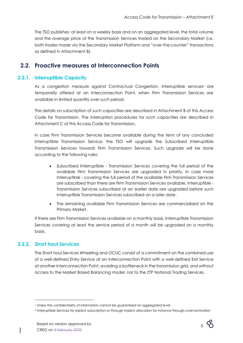The TSO publishes<sup>1</sup> at least on a weekly basis and on an aggregated level, the total volume and the average price of the Transmission Services traded on the Secondary Market (i.e. both trades made via the Secondary Market Platform and "over-the-counter" transactions as defined in Attachment B).

# <span id="page-5-0"></span>**2.2. Proactive measures at Interconnection Points**

#### **2.2.1. Interruptible Capacity**

<span id="page-5-1"></span>As a congestion measure against Contractual Congestion, Interruptible services<sup>2</sup> are temporarily offered at an Interconnection Point, when Firm Transmission Services are available in limited quantity over such period.

The details on subscription of such capacities are described in Attachment B of this Access Code for Transmission. The interruption procedures for such capacities are described in Attachment C of this Access Code for Transmission.

In case Firm Transmission Services become available during the term of any concluded Interruptible Transmission Service, the TSO will upgrade the Subscribed Interruptible Transmission Services towards Firm Transmission Services. Such upgrade will be done according to the following rules:

- Subscribed Interruptible Transmission Services covering the full period of the available Firm Transmission Services are upgraded in priority. In case more Interruptible - covering the full period of the available Firm Transmission Services are subscribed than there are Firm Transmission Services available, Interruptible - Transmission Services subscribed at an earlier date are upgraded before such Interruptible Transmission Services subscribed on a later date.
- The remaining available Firm Transmission Services are commercialized on the Primary Market.

If there are Firm Transmission Services available on a monthly basis, Interruptible Transmission Services covering at least the service period of a month will be upgraded on a monthly basis.

### **2.2.2. Short haul Services**

<span id="page-5-2"></span>The Short haul Services Wheeling and OCUC consist of a commitment on the combined use of a well-defined Entry Service at an Interconnection Point with a well-defined Exit Service at another Interconnection Point, avoiding a bottleneck in the transmission grid, and without access to the Market Based Balancing model, nor to the ZTP Notional Trading Services.



<sup>1</sup> Unless the confidentiality of information cannot be guaranteed on aggregated level

<sup>2</sup> Interruptible Services for explicit subscription or through implicit allocation for instance through overnomination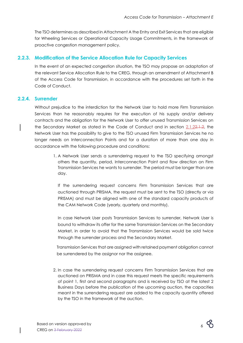The TSO determines as described in Attachment A the Entry and Exit Services that are eligible for Wheeling Services or Operational Capacity Usage Commitments, in the framework of proactive congestion management policy.

#### **2.2.3. Modification of the Service Allocation Rule for Capacity Services**

<span id="page-6-0"></span>In the event of an expected congestion situation, the TSO may propose an adaptation of the relevant Service Allocation Rule to the CREG, through an amendment of Attachment B of the Access Code for Transmission, in accordance with the procedures set forth in the Code of Conduct.

#### **2.2.4. Surrender**

<span id="page-6-1"></span>Without prejudice to the interdiction for the Network User to hold more Firm Transmission Services than he reasonably requires for the execution of his supply and/or delivery contracts and the obligation for the Network User to offer unused Transmission Services on the Secondary Market as stated in the Code of Conduct and in section [2.1.22.1.2,](#page-3-3) the Network User has the possibility to give to the TSO unused Firm Transmission Services he no longer needs on Interconnection Points and for a duration of more than one day in accordance with the following procedure and conditions:

> 1. A Network User sends a surrendering request to the TSO specifying amongst others the quantity, period, Interconnection Point and flow direction on Firm Transmission Services he wants to surrender. The period must be longer than one day.

If the surrendering request concerns Firm Transmission Services that are auctioned through PRISMA, the request must be sent to the TSO (directly or via PRISMA) and must be aligned with one of the standard capacity products of the CAM Network Code (yearly, quarterly and monthly).

In case Network User posts Transmission Services to surrender, Network User is bound to withdraw its offer for the same Transmission Services on the Secondary Market, in order to avoid that the Transmission Services would be sold twice through the surrender process and the Secondary Market.

Transmission Services that are assigned with retained payment obligation cannot be surrendered by the assignor nor the assignee.

2. In case the surrendering request concerns Firm Transmission Services that are auctioned on PRISMA and in case this request meets the specific requirements of point 1, first and second paragraphs and is received by TSO at the latest 2 Business Days before the publication of the upcoming auction, the capacities meant in the surrendering request are added to the capacity quantity offered by the TSO in the framework of the auction.

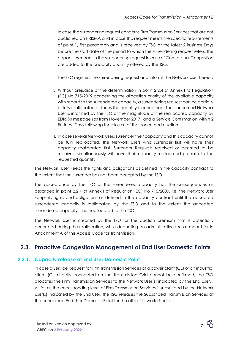In case the surrendering request concerns Firm Transmission Services that are not auctioned on PRISMA and in case this request meets the specific requirements of point 1, first paragraph and is received by TSO at the latest 2 Business Days before the start date of the period to which the surrendering request refers, the capacities meant in the surrendering request in case of Contractual Congestion are added to the capacity quantity offered by the TSO.

The TSO registers the surrendering request and informs the Network User hereof.

- 3. Without prejudice of the determination in point 2.2.4 of Annex I to Regulation (EC) No 715/2009 concerning the allocation priority of the available capacity with regard to the surrendered capacity, a surrendering request can be partially or fully reallocated as far as the quantity is concerned. The concerned Network User is informed by the TSO of the magnitude of the reallocated capacity by EDIg@s message (as from November 2017) and a Service Confirmation within 2 Business Days following the closure of the concerned auction.
- 4. In case several Network Users surrender their capacity and this capacity cannot be fully reallocated, the Network Users who surrender first will have their capacity reallocated first. Surrender Requests received or deemed to be received simultaneously will have their capacity reallocated pro-rata to the requested quantity.

The Network User keeps the rights and obligations as defined in the capacity contract to the extent that the surrender has not been accepted by the TSO.

The acceptance by the TSO of the surrendered capacity has the consequences as described in point 2.2.4 of Annex I of Regulation (EC) No 715/2009, i.e. the Network User keeps its rights and obligations as defined in the capacity contract until the accepted surrendered capacity is reallocated by the TSO and to the extent the accepted surrendered capacity is not reallocated to the TSO.

The Network User is credited by the TSO for the auction premium that is potentially generated during the reallocation, while deducting an administrative fee as meant for in Attachment A of this Access Code for Transmission.

# <span id="page-7-0"></span>**2.3. Proactive Congestion Management at End User Domestic Points**

#### **2.3.1. Capacity release at End User Domestic Point**

<span id="page-7-1"></span>In case a Service Request for Firm Transmission Services at a power plant (CE) or an industrial client (CI) directly connected on the Transmission Grid cannot be confirmed, the TSO allocates the Firm Transmission Services to the Network User(s) indicated by the End User. , As far as the corresponding level of Firm Transmission Services is subscribed by the Network User(s) indicated by the End User, the TSO releases the Subscribed Transmission Services at the concerned End User Domestic Point for the other Network User(s).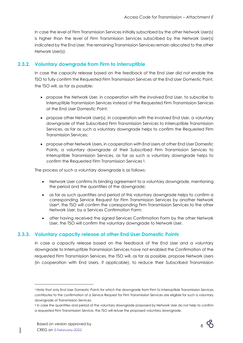In case the level of Firm Transmission Services initially subscribed by the other Network User(s) is higher than the level of Firm Transmission Services subscribed by the Network User(s) indicated by the End User, the remaining Transmission Services remain allocated to the other Network User(s).

#### **2.3.2. Voluntary downgrade from Firm to Interruptible**

<span id="page-8-0"></span>In case the capacity release based on the feedback of the End User did not enable the TSO to fully confirm the Requested Firm Transmission Services at the End User Domestic Point, the TSO will, as far as possible:

- propose the Network User, in cooperation with the involved End User, to subscribe to Interruptible Transmission Services instead of the Requested Firm Transmission Services at the End User Domestic Point;
- propose other Network User(s), in cooperation with the involved End User, a voluntary downgrade of their Subscribed Firm Transmission Services to Interruptible Transmission Services, as far as such a voluntary downgrade helps to confirm the Requested Firm Transmission Services;
- propose other Network Users, in cooperation with End Users at other End User Domestic Points, a voluntary downgrade of their Subscribed Firm Transmission Services to Interruptible Transmission Services, as far as such a voluntary downgrade helps to confirm the Requested Firm Transmission Services <sup>3</sup>.

The process of such a voluntary downgrade is as follows:

- Network User confirms its binding agreement to a voluntary downgrade, mentioning the period and the quantities of the downgrade;
- as far as such quantities and period of this voluntary downgrade helps to confirm a corresponding Service Request for Firm Transmission Services by another Network User4, the TSO will confirm the corresponding Firm Transmission Services to the other Network User, by a Services Confirmation Form;
- after having received the signed Services Confirmation Form by the other Network User, the TSO will confirm the voluntary downgrade to Network User.

### **2.3.3. Voluntary capacity release at other End User Domestic Points**

<span id="page-8-1"></span>In case a capacity release based on the feedback of the End User and a voluntary downgrade to Interruptible Transmission Services have not enabled the Confirmation of the requested Firm Transmission Services, the TSO will, as far as possible, propose Network Users (in cooperation with End Users, if applicable), to reduce their Subscribed Transmission



<sup>3</sup> Note that only End User Domestic Points for which the downgrade from Firm to Interruptible Transmission Services contributes to the confirmation of a Service Request for Firm Transmission Services are eligible for such a voluntary downgrade of Transmission Services.

<sup>4</sup> In case the quantities and period of the voluntary downgrade proposed by Network User do not help to confirm a requested Firm Transmission Service, the TSO will refuse the proposed voluntary downgrade.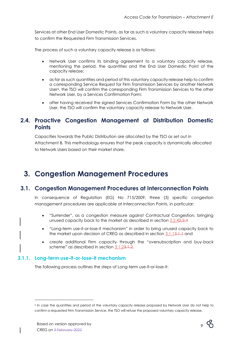Services at other End User Domestic Points, as far as such a voluntary capacity release helps to confirm the Requested Firm Transmission Services.

The process of such a voluntary capacity release is as follows:

- Network User confirms its binding agreement to a voluntary capacity release, mentioning the period, the quantities and the End User Domestic Point of the capacity release;
- as far as such quantities and period of this voluntary capacity release help to confirm a corresponding Service Request for Firm Transmission Services by another Network User5, the TSO will confirm the corresponding Firm Transmission Services to the other Network User, by a Services Confirmation Form;
- after having received the signed Services Confirmation Form by the other Network User, the TSO will confirm the voluntary capacity release to Network User.

# <span id="page-9-0"></span>**2.4. Proactive Congestion Management at Distribution Domestic Points**

Capacities towards the Public Distribution are allocated by the TSO as set out in Attachment B. This methodology ensures that the peak capacity is dynamically allocated to Network Users based on their market share.

# <span id="page-9-1"></span>**3. Congestion Management Procedures**

# <span id="page-9-2"></span>**3.1. Congestion Management Procedures at Interconnection Points**

In consequence of Regulation (EG) No 715/2009, three (3) specific congestion management procedures are applicable at Interconnection Points, in particular:

- "Surrender", as a congestion measure against Contractual Congestion, bringing unused capacity back to the market as described in section [2.2.42.2.4](#page-6-1)
- "Long-term use-it-or-lose-it mechanism" in order to bring unused capacity back to the market upon decision of CREG as described in section [3.1.13.1.1](#page-9-3) and
- create additional Firm capacity through the "oversubscription and buy-back scheme" as described in section [3.1.23.1.2.](#page-13-0)

#### **3.1.1. Long-term use-it-or-lose-it mechanism**

<span id="page-9-3"></span>The following process outlines the steps of Long-term use-it-or-lose-it:



<sup>5</sup> In case the quantities and period of the voluntary capacity release proposed by Network User do not help to confirm a requested Firm Transmission Service, the TSO will refuse the proposed voluntary capacity release.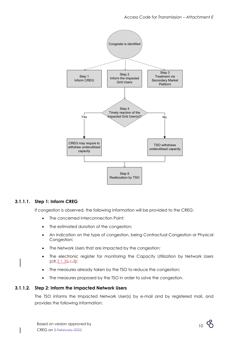

#### **3.1.1.1. Step 1: Inform CREG**

If congestion is observed, the following information will be provided to the CREG:

- The concerned Interconnection Point:
- The estimated duration of the congestion;
- An indication on the type of congestion, being Contractual Congestion or Physical Congestion;
- The Network Users that are impacted by the congestion;
- The electronic register for monitoring the Capacity Utilization by Network Users  $(cfr.2.1.32.1.3)$  $(cfr.2.1.32.1.3)$ ;
- The measures already taken by the TSO to reduce the congestion;
- The measures proposed by the TSO in order to solve the congestion.

#### **3.1.1.2. Step 2: Inform the Impacted Network Users**

The TSO informs the Impacted Network User(s) by e-mail and by registered mail, and provides the following information:

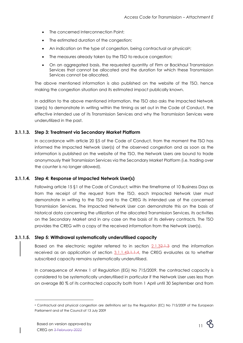- The concerned Interconnection Point;
- The estimated duration of the congestion;
- An indication on the type of congestion, being contractual or physical<sup>6</sup>;
- The measures already taken by the TSO to reduce congestion;
- On an aggregated basis, the requested quantity of Firm or Backhaul Transmission Services that cannot be allocated and the duration for which these Transmission Services cannot be allocated.

The above mentioned information is also published on the website of the TSO, hence making the congestion situation and its estimated impact publically known.

In addition to the above mentioned information, the TSO also asks the Impacted Network User(s) to demonstrate in writing within the timing as set out in the Code of Conduct, the effective intended use of its Transmission Services and why the Transmission Services were underutilized in the past.

#### **3.1.1.3. Step 3: Treatment via Secondary Market Platform**

In accordance with article 20 §5 of the Code of Conduct, from the moment the TSO has informed the Impacted Network User(s) of the observed congestion and as soon as the information is published on the website of the TSO, the Network Users are bound to trade anonymously their Transmission Services via the Secondary Market Platform (i.e. trading over the counter is no longer allowed).

#### **3.1.1.4. Step 4: Response of Impacted Network User(s)**

<span id="page-11-0"></span>Following article 15 §1 of the Code of Conduct; within the timeframe of 10 Business Days as from the receipt of the request from the TSO, each Impacted Network User must demonstrate in writing to the TSO and to the CREG its intended use of the concerned Transmission Services. The Impacted Network User can demonstrate this on the basis of historical data concerning the utilization of the allocated Transmission Services, its activities on the Secondary Market and in any case on the basis of its delivery contracts. The TSO provides the CREG with a copy of the received information from the Network User(s).

#### **3.1.1.5. Step 5: Withdrawal systematically underutilised capacity**

Based on the electronic register referred to in section [2.1.32.1.3](#page-4-0) and the information received as an application of section 3.1.1.43.1.1.44, the CREG evaluates as to whether subscribed capacity remains systematically underutilised.

In consequence of Annex 1 of Regulation (EG) No 715/2009, the contracted capacity is considered to be systematically underutilised in particular if the Network User uses less than on average 80 % of its contracted capacity both from 1 April until 30 September and from



<sup>6</sup> Contractual and physical congestion are definitions set by the Regulation (EC) No 715/2009 of the European Parliament and of the Council of 13 July 2009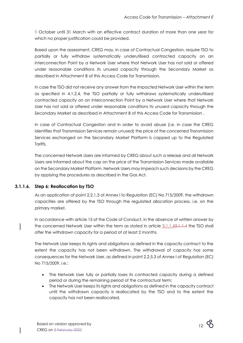1 October until 31 March with an effective contract duration of more than one year for which no proper justification could be provided.

Based upon the assessment, CREG may, in case of Contractual Congestion, require TSO to partially or fully withdraw systematically underutilised contracted capacity on an Interconnection Point by a Network User where that Network User has not sold or offered under reasonable conditions its unused capacity through the Secondary Market as described in Attachment B of this Access Code for Transmission.

In case the TSO did not receive any answer from the Impacted Network User within the term as specified in 4.1.2.4, the TSO partially or fully withdraws systematically underutilised contracted capacity on an Interconnection Point by a Network User where that Network User has not sold or offered under reasonable conditions its unused capacity through the Secondary Market as described in Attachment B of this Access Code for Transmission .

In case of Contractual Congestion and in order to avoid abuse (i.e. in case the CREG identifies that Transmission Services remain unused) the price of the concerned Transmission Services exchanged on the Secondary Market Platform is capped up to the Regulated Tariffs.

The concerned Network Users are informed by CREG about such a release and all Network Users are informed about the cap on the price of the Transmission Services made available on the Secondary Market Platform. Network Users may impeach such decisions by the CREG by applying the procedures as described in the Gas Act.

### **3.1.1.6. Step 6: Reallocation by TSO**

As an application of point 2.2.1.3 of Annex I to Regulation (EC) No 715/2009, the withdrawn capacities are offered by the TSO through the regulated allocation process, i.e. on the primary market.

In accordance with article 15 of the Code of Conduct, in the absence of written answer by the concerned Network User within the term as stated in article [3.1.1.43.1.1.4](#page-11-0) the TSO shall offer the withdrawn capacity for a period of at least 2 months.

The Network User keeps its rights and obligations as defined in the capacity contract to the extent the capacity has not been withdrawn. The withdrawal of capacity has some consequences for the Network User, as defined in point 2.2.5.3 of Annex I of Regulation (EC) No 715/2009, i.e.:

- The Network User fully or partially loses its contracted capacity during a defined period or during the remaining period of the contractual term;
- The Network User keeps its rights and obligations as defined in the capacity contract until the withdrawn capacity is reallocated by the TSO and to the extent the capacity has not been reallocated.

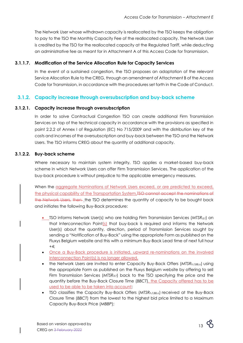The Network User whose withdrawn capacity is reallocated by the TSO keeps the obligation to pay to the TSO the Monthly Capacity Fee of the reallocated capacity. The Network User is credited by the TSO for the reallocated capacity at the Regulated Tariff, while deducting an administrative fee as meant for in Attachment A of this Access Code for Transmission.

#### **3.1.1.7. Modification of the Service Allocation Rule for Capacity Services**

In the event of a sustained congestion, the TSO proposes an adaptation of the relevant Service Allocation Rule to the CREG, through an amendment of Attachment B of the Access Code for Transmission, in accordance with the procedures set forth in the Code of Conduct.

### <span id="page-13-0"></span>**3.1.2. Capacity increase through oversubscription and buy-back scheme**

#### **3.1.2.1. Capacity increase through oversubscription**

In order to solve Contractual Congestion TSO can create additional Firm Transmission Services on top of the technical capacity in accordance with the provisions as specified in point 2.2.2 of Annex I of Regulation (EC) No 715/2009 and with the distribution key of the costs and incomes of the oversubscription and buy-back between the TSO and the Network Users. The TSO informs CREG about the quantity of additional capacity.

#### **3.1.2.2. Buy-back scheme**

<span id="page-13-1"></span>Where necessary to maintain system integrity, TSO applies a market-based buy-back scheme in which Network Users can offer Firm Transmission Services. The application of the buy-back procedure is without prejudice to the applicable emergency measures.

When the aggregate Nominations of Network Users exceed, or are predicted to exceed, the physical capability of the Transportation System,<del>TSO cannot accept the nominations of</del> the Network Users, then the TSO determines the quantity of capacity to be bought back and initiates the following Buy-Back procedure:

- TSO informs Network User(s) who are holding Firm Transmission Services (*MTSRd,f*) on that Interconnection Point $(s)$  that buy-back is required and informs the Network User(s) about the quantity, direction, period of Transmission Services sought by sending a "Notification of Buy-Back" using the appropriate Form as published on the Fluxys Belgium website and this with a minimum Buy-Back Lead time of next full hour  $+4;$
- Once a Buy-Back procedure is initiated, upward re-nominations on the involved Interconnection Point(s) is no longer allowed.
- the Network Users are invited to enter Capacity Buy-Back Offers (*MTSRh,f,BB,o*) using the appropriate Form as published on the Fluxys Belgium website by offering to sell Firm Transmission Services (*MTSRd,f*) back to the TSO specifying the price and the quantity before the Buy-Back Closure Time (*BBCT*), the Capacity offered has to be used to be able to be taken into account;
- TSO classifies the Capacity Buy-Back Offers (*MTSR<sub>h,f,BB,o*) received at the Buy-Back</sub> Closure Time (*BBCT*) from the lowest to the highest bid price limited to a Maximum Capacity Buy-Back Price (*MBBP*);

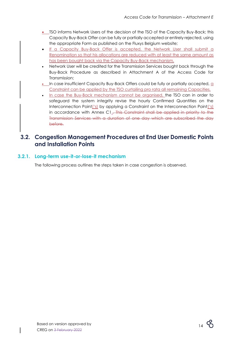- TSO informs Network Users of the decision of the TSO of the Capacity Buy-Back; this Capacity Buy-Back Offer can be fully or partially accepted or entirely rejected, using the appropriate Form as published on the Fluxys Belgium website;
- If a Capacity Buy-Back Offer is accepted, the Network User shall submit a Renomination so that his allocations are reduced with at least the same amount as has been bought back via the Capacity Buy-Back mechanism.
- Network User will be credited for the Transmission Services bought back through the Buy-Back Procedure as described in Attachment A of the Access Code for Transmission;
- In case insufficient Capacity Buy-Back Offers could be fully or partially accepted, a Constraint can be applied by the TSO curtailing pro rata all remaining Capacities.
- In case the Buy-Back mechanism cannot be organised, the TSO can in order to safeguard the system integrity revise the hourly Confirmed Quantities on the Interconnection Point('s) by applying a Constraint on the Interconnection Point('s) in accordance with Annex C1... This Constraint shall be applied in priority to the Transmission Services with a duration of one day which are subscribed the day before.

# <span id="page-14-0"></span>**3.2. Congestion Management Procedures at End User Domestic Points and Installation Points**

## **3.2.1. Long-term use-it-or-lose-it mechanism**

<span id="page-14-1"></span>The following process outlines the steps taken in case congestion is observed.

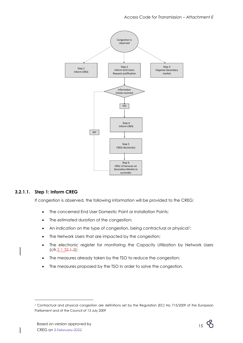

#### **3.2.1.1. Step 1: Inform CREG**

If congestion is observed, the following information will be provided to the CREG:

- The concerned End User Domestic Point or Installation Points;
- The estimated duration of the congestion;
- An indication on the type of congestion, being contractual or physical?;
- The Network Users that are impacted by the congestion;
- The electronic register for monitoring the Capacity Utilization by Network Users  $(cfr.2.1.32.1.3)$  $(cfr.2.1.32.1.3)$ ;
- The measures already taken by the TSO to reduce the congestion;
- The measures proposed by the TSO in order to solve the congestion.



<sup>7</sup> Contractual and physical congestion are definitions set by the Regulation (EC) No 715/2009 of the European Parliament and of the Council of 13 July 2009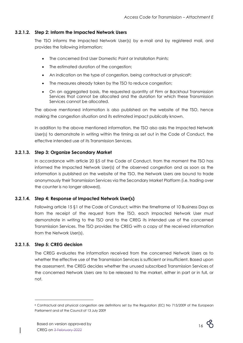#### **3.2.1.2. Step 2: Inform the Impacted Network Users**

The TSO informs the Impacted Network User(s) by e-mail and by registered mail, and provides the following information:

- The concerned End User Domestic Point or Installation Points;
- The estimated duration of the congestion;
- An indication on the type of congestion, being contractual or physical<sup>8</sup>;
- The measures already taken by the TSO to reduce congestion;
- On an aggregated basis, the requested quantity of Firm or Backhaul Transmission Services that cannot be allocated and the duration for which these Transmission Services cannot be allocated.

The above mentioned information is also published on the website of the TSO, hence making the congestion situation and its estimated impact publically known.

In addition to the above mentioned information, the TSO also asks the Impacted Network User(s) to demonstrate in writing within the timing as set out in the Code of Conduct, the effective intended use of its Transmission Services.

#### **3.2.1.3. Step 3: Organize Secondary Market**

In accordance with article 20 §5 of the Code of Conduct, from the moment the TSO has informed the Impacted Network User(s) of the observed congestion and as soon as the information is published on the website of the TSO, the Network Users are bound to trade anonymously their Transmission Services via the Secondary Market Platform (i.e. trading over the counter is no longer allowed).

#### **3.2.1.4. Step 4: Response of Impacted Network User(s)**

Following article 15 §1 of the Code of Conduct; within the timeframe of 10 Business Days as from the receipt of the request from the TSO, each Impacted Network User must demonstrate in writing to the TSO and to the CREG its intended use of the concerned Transmission Services. The TSO provides the CREG with a copy of the received information from the Network User(s).

#### **3.2.1.5. Step 5: CREG decision**

The CREG evaluates the information received from the concerned Network Users as to whether the effective use of the Transmission Services is sufficient or insufficient. Based upon the assessment, the CREG decides whether the unused subscribed Transmission Services of the concerned Network Users are to be released to the market, either in part or in full, or not.



<sup>8</sup> Contractual and physical congestion are definitions set by the Regulation (EC) No 715/2009 of the European Parliament and of the Council of 13 July 2009